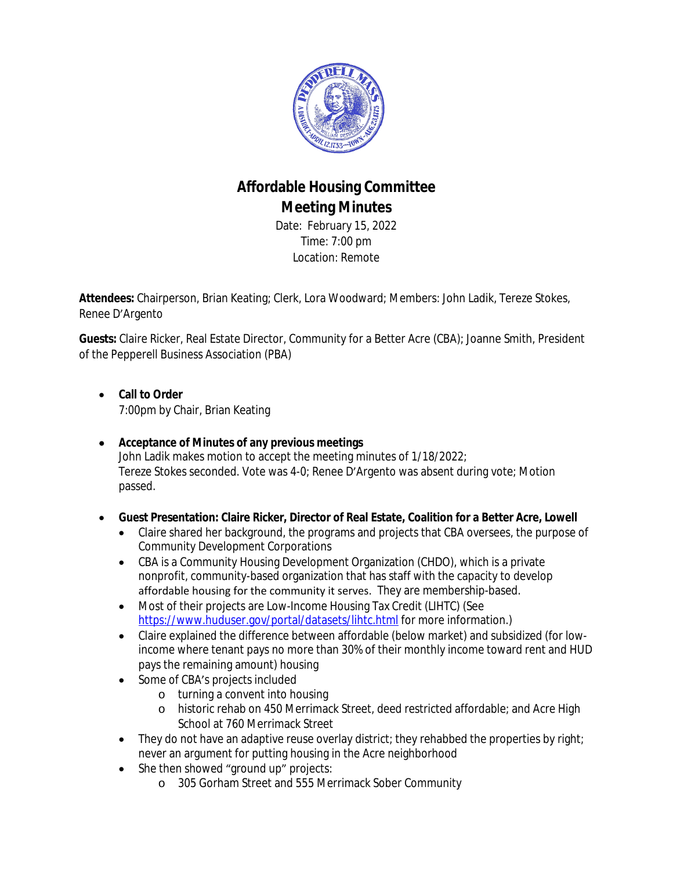

# **Affordable Housing Committee Meeting Minutes**

Date: February 15, 2022 Time: 7:00 pm Location: Remote

**Attendees:** Chairperson, Brian Keating; Clerk, Lora Woodward; Members: John Ladik, Tereze Stokes, Renee D'Argento

**Guests:** Claire Ricker, Real Estate Director, Community for a Better Acre (CBA); Joanne Smith, President of the Pepperell Business Association (PBA)

- **Call to Order** 7:00pm by Chair, Brian Keating
- **Acceptance of Minutes of any previous meetings** John Ladik makes motion to accept the meeting minutes of 1/18/2022; Tereze Stokes seconded. Vote was 4-0; Renee D'Argento was absent during vote; Motion passed.
- **Guest Presentation: Claire Ricker, Director of Real Estate, Coalition for a Better Acre, Lowell**
	- Claire shared her background, the programs and projects that CBA oversees, the purpose of Community Development Corporations
	- CBA is a Community Housing Development Organization (CHDO), which is a private nonprofit, community-based organization that has staff with the capacity to develop affordable housing for the community it serves. They are membership-based.
	- Most of their projects are Low-Income Housing Tax Credit (LIHTC) (See <https://www.huduser.gov/portal/datasets/lihtc.html>for more information.)
	- Claire explained the difference between affordable (below market) and subsidized (for lowincome where tenant pays no more than 30% of their monthly income toward rent and HUD pays the remaining amount) housing
	- Some of CBA's projects included
		- o turning a convent into housing
		- o historic rehab on 450 Merrimack Street, deed restricted affordable; and Acre High School at 760 Merrimack Street
	- They do not have an adaptive reuse overlay district; they rehabbed the properties by right; never an argument for putting housing in the Acre neighborhood
	- She then showed "ground up" projects:
		- o 305 Gorham Street and 555 Merrimack Sober Community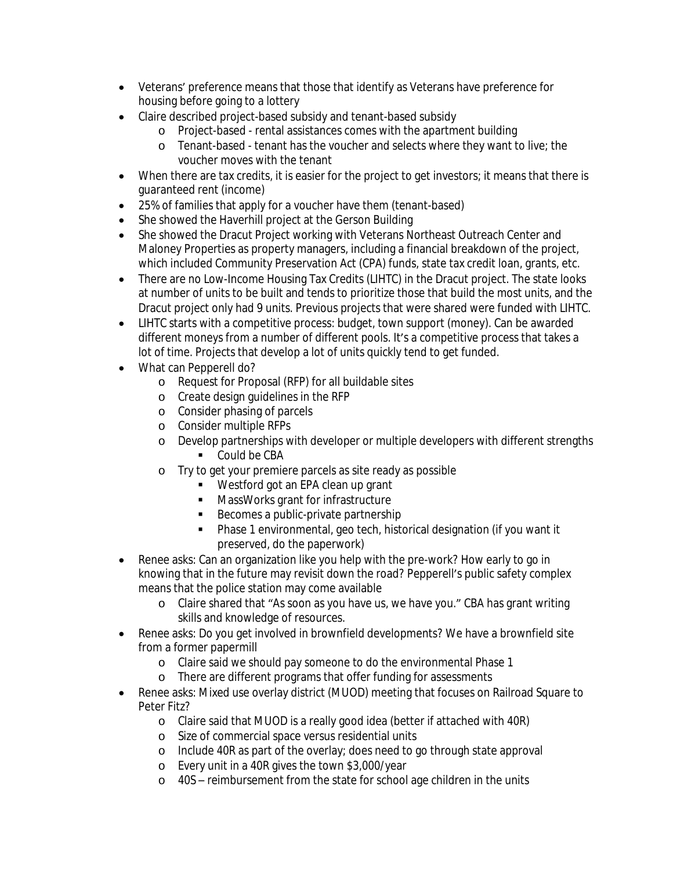- Veterans' preference means that those that identify as Veterans have preference for housing before going to a lottery
- Claire described project-based subsidy and tenant-based subsidy
	- o Project-based rental assistances comes with the apartment building
	- o Tenant-based tenant has the voucher and selects where they want to live; the voucher moves with the tenant
- When there are tax credits, it is easier for the project to get investors; it means that there is guaranteed rent (income)
- 25% of families that apply for a voucher have them (tenant-based)
- She showed the Haverhill project at the Gerson Building
- She showed the Dracut Project working with Veterans Northeast Outreach Center and Maloney Properties as property managers, including a financial breakdown of the project, which included Community Preservation Act (CPA) funds, state tax credit loan, grants, etc.
- There are no Low-Income Housing Tax Credits (LIHTC) in the Dracut project. The state looks at number of units to be built and tends to prioritize those that build the most units, and the Dracut project only had 9 units. Previous projects that were shared were funded with LIHTC.
- LIHTC starts with a competitive process: budget, town support (money). Can be awarded different moneys from a number of different pools. It's a competitive process that takes a lot of time. Projects that develop a lot of units quickly tend to get funded.
- What can Pepperell do?
	- o Request for Proposal (RFP) for all buildable sites
	- o Create design guidelines in the RFP
	- o Consider phasing of parcels
	- o Consider multiple RFPs
	- o Develop partnerships with developer or multiple developers with different strengths
		- Could be CBA
	- o Try to get your premiere parcels as site ready as possible
		- **Westford got an EPA clean up grant**
		- **MassWorks grant for infrastructure**
		- Becomes a public-private partnership
		- Phase 1 environmental, geo tech, historical designation (if you want it preserved, do the paperwork)
- Renee asks: Can an organization like you help with the pre-work? How early to go in knowing that in the future may revisit down the road? Pepperell's public safety complex means that the police station may come available
	- o Claire shared that "As soon as you have us, we have you." CBA has grant writing skills and knowledge of resources.
- Renee asks: Do you get involved in brownfield developments? We have a brownfield site from a former papermill
	- o Claire said we should pay someone to do the environmental Phase 1
	- o There are different programs that offer funding for assessments
- Renee asks: Mixed use overlay district (MUOD) meeting that focuses on Railroad Square to Peter Fitz?
	- o Claire said that MUOD is a really good idea (better if attached with 40R)
	- o Size of commercial space versus residential units
	- o Include 40R as part of the overlay; does need to go through state approval
	- o Every unit in a 40R gives the town \$3,000/year
	- o 40S reimbursement from the state for school age children in the units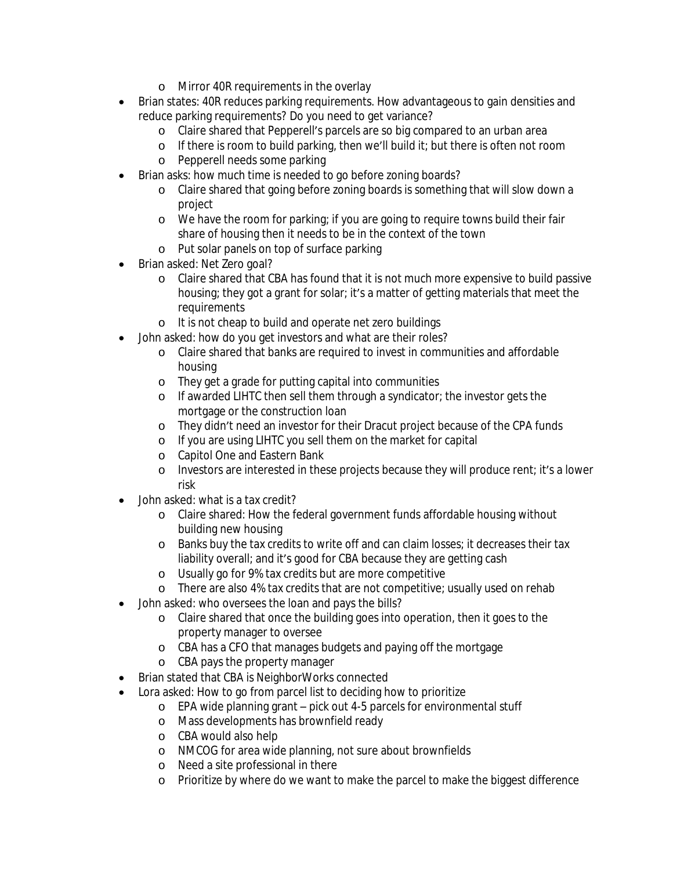- o Mirror 40R requirements in the overlay
- Brian states: 40R reduces parking requirements. How advantageous to gain densities and reduce parking requirements? Do you need to get variance?
	- o Claire shared that Pepperell's parcels are so big compared to an urban area
	- o If there is room to build parking, then we'll build it; but there is often not room
	- o Pepperell needs some parking
- Brian asks: how much time is needed to go before zoning boards?
	- o Claire shared that going before zoning boards is something that will slow down a project
	- o We have the room for parking; if you are going to require towns build their fair share of housing then it needs to be in the context of the town
	- o Put solar panels on top of surface parking
- Brian asked: Net Zero goal?
	- o Claire shared that CBA has found that it is not much more expensive to build passive housing; they got a grant for solar; it's a matter of getting materials that meet the requirements
	- o It is not cheap to build and operate net zero buildings
- John asked: how do you get investors and what are their roles?
	- o Claire shared that banks are required to invest in communities and affordable housing
	- o They get a grade for putting capital into communities
	- o If awarded LIHTC then sell them through a syndicator; the investor gets the mortgage or the construction loan
	- o They didn't need an investor for their Dracut project because of the CPA funds
	- o If you are using LIHTC you sell them on the market for capital
	- o Capitol One and Eastern Bank
	- o Investors are interested in these projects because they will produce rent; it's a lower risk
- John asked: what is a tax credit?
	- o Claire shared: How the federal government funds affordable housing without building new housing
	- o Banks buy the tax credits to write off and can claim losses; it decreases their tax liability overall; and it's good for CBA because they are getting cash
	- o Usually go for 9% tax credits but are more competitive
	- o There are also 4% tax credits that are not competitive; usually used on rehab
- John asked: who oversees the loan and pays the bills?
	- o Claire shared that once the building goes into operation, then it goes to the property manager to oversee
	- o CBA has a CFO that manages budgets and paying off the mortgage
	- o CBA pays the property manager
- Brian stated that CBA is NeighborWorks connected
- Lora asked: How to go from parcel list to deciding how to prioritize
	- o EPA wide planning grant pick out 4-5 parcels for environmental stuff
	- o Mass developments has brownfield ready
	- o CBA would also help
	- o NMCOG for area wide planning, not sure about brownfields
	- o Need a site professional in there
	- o Prioritize by where do we want to make the parcel to make the biggest difference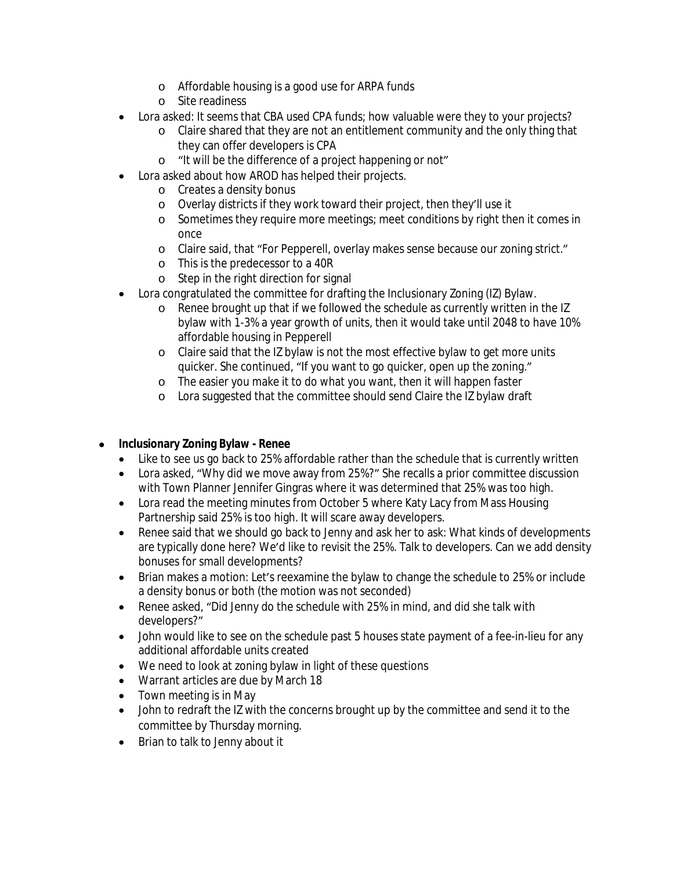- o Affordable housing is a good use for ARPA funds
- o Site readiness
- Lora asked: It seems that CBA used CPA funds; how valuable were they to your projects?
	- o Claire shared that they are not an entitlement community and the only thing that they can offer developers is CPA
	- o "It will be the difference of a project happening or not"
- Lora asked about how AROD has helped their projects.
	- o Creates a density bonus
	- o Overlay districts if they work toward their project, then they'll use it
	- o Sometimes they require more meetings; meet conditions by right then it comes in once
	- o Claire said, that "For Pepperell, overlay makes sense because our zoning strict."
	- o This is the predecessor to a 40R
	- o Step in the right direction for signal
- Lora congratulated the committee for drafting the Inclusionary Zoning (IZ) Bylaw.
	- o Renee brought up that if we followed the schedule as currently written in the IZ bylaw with 1-3% a year growth of units, then it would take until 2048 to have 10% affordable housing in Pepperell
	- o Claire said that the IZ bylaw is not the most effective bylaw to get more units quicker. She continued, "If you want to go quicker, open up the zoning."
	- o The easier you make it to do what you want, then it will happen faster
	- o Lora suggested that the committee should send Claire the IZ bylaw draft

# **Inclusionary Zoning Bylaw - Renee**

- Like to see us go back to 25% affordable rather than the schedule that is currently written
- Lora asked, "Why did we move away from 25%?" She recalls a prior committee discussion with Town Planner Jennifer Gingras where it was determined that 25% was too high.
- Lora read the meeting minutes from October 5 where Katy Lacy from Mass Housing Partnership said 25% is too high. It will scare away developers.
- Renee said that we should go back to Jenny and ask her to ask: What kinds of developments are typically done here? We'd like to revisit the 25%. Talk to developers. Can we add density bonuses for small developments?
- Brian makes a motion: Let's reexamine the bylaw to change the schedule to 25% or include a density bonus or both (the motion was not seconded)
- Renee asked, "Did Jenny do the schedule with 25% in mind, and did she talk with developers?"
- John would like to see on the schedule past 5 houses state payment of a fee-in-lieu for any additional affordable units created
- We need to look at zoning bylaw in light of these questions
- Warrant articles are due by March 18
- Town meeting is in May
- John to redraft the IZ with the concerns brought up by the committee and send it to the committee by Thursday morning.
- Brian to talk to Jenny about it